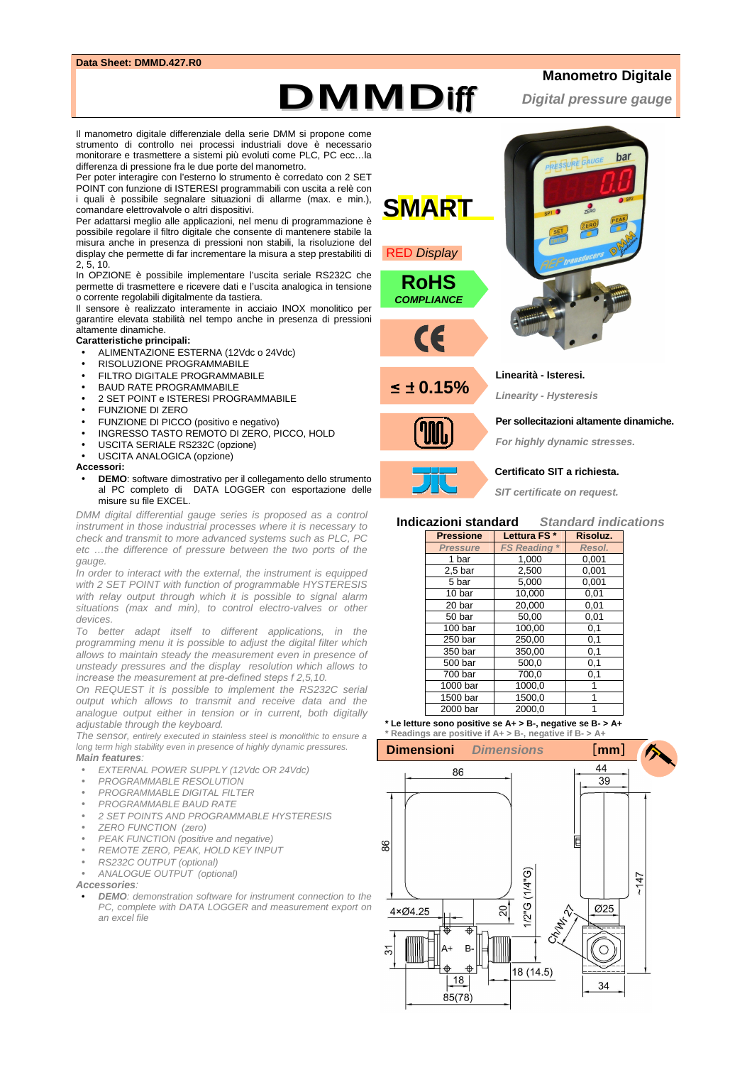### **Data Sheet: DMMD.427.R0**

# **Manometro Digitale**

**Digital pressure gauge**

**DMMD**iff

Il manometro digitale differenziale della serie DMM si propone come strumento di controllo nei processi industriali dove è necessario monitorare e trasmettere a sistemi più evoluti come PLC, PC ecc…la differenza di pressione fra le due porte del manometro.

Per poter interagire con l'esterno lo strumento è corredato con 2 SET POINT con funzione di ISTERESI programmabili con uscita a relè con i quali è possibile segnalare situazioni di allarme (max. e min.), comandare elettrovalvole o altri dispositivi.

Per adattarsi meglio alle applicazioni, nel menu di programmazione è possibile regolare il filtro digitale che consente di mantenere stabile la misura anche in presenza di pressioni non stabili, la risoluzione del display che permette di far incrementare la misura a step prestabiliti di 2, 5, 10.

In OPZIONE è possibile implementare l'uscita seriale RS232C che permette di trasmettere e ricevere dati e l'uscita analogica in tensione o corrente regolabili digitalmente da tastiera.

Il sensore è realizzato interamente in acciaio INOX monolitico per garantire elevata stabilità nel tempo anche in presenza di pressioni altamente dinamiche.

#### **Caratteristiche principali:**

- ALIMENTAZIONE ESTERNA (12Vdc o 24Vdc)
- RISOLUZIONE PROGRAMMABILE
- **FILTRO DIGITALE PROGRAMMABILE**
- BAUD RATE PROGRAMMABILE
- 2 SET POINT e ISTERESI PROGRAMMABILE
- FUNZIONE DI ZERO
- FUNZIONE DI PICCO (positivo e negativo)
- INGRESSO TASTO REMOTO DI ZERO, PICCO, HOLD
- USCITA SERIALE RS232C (opzione)
- USCITA ANALOGICA (opzione)

#### **Accessori:**

• **DEMO**: software dimostrativo per il collegamento dello strumento al PC completo di DATA LOGGER con esportazione delle misure su file EXCEL.

DMM digital differential gauge series is proposed as a control instrument in those industrial processes where it is necessary to check and transmit to more advanced systems such as PLC, PC etc …the difference of pressure between the two ports of the gauge.

In order to interact with the external, the instrument is equipped with 2 SET POINT with function of programmable HYSTERESIS with relay output through which it is possible to signal alarm situations (max and min), to control electro-valves or other devices.

To better adapt itself to different applications, in the programming menu it is possible to adjust the digital filter which allows to maintain steady the measurement even in presence of unsteady pressures and the display resolution which allows to increase the measurement at pre-defined steps f 2,5,10.

On REQUEST it is possible to implement the RS232C serial output which allows to transmit and receive data and the analogue output either in tension or in current, both digitally adjustable through the keyboard.

The sensor, entirely executed in stainless steel is monolithic to ensure a long term high stability even in presence of highly dynamic pressures. **Main features**:

- EXTERNAL POWER SUPPLY (12Vdc OR 24Vdc)
- PROGRAMMABLE RESOLUTION
- PROGRAMMABLE DIGITAL FILTER
- PROGRAMMABLE BAUD RATE
- 2 SET POINTS AND PROGRAMMABLE HYSTERESIS
- ZERO FUNCTION (zero)
- PEAK FUNCTION (positive and negative)
- REMOTE ZERO, PEAK, HOLD KEY INPUT
- RS232C OUTPUT (optional)
- ANALOGUE OUTPUT (optional)

**Accessories**:

• **DEMO**: demonstration software for instrument connection to the PC, complete with DATA LOGGER and measurement export on an excel file



**For highly dynamic stresses.** 

#### **Certificato SIT a richiesta.**

**SIT certificate on request.**

## **Indicazioni standard Standard indications**

| <b>Pressione</b>   | Lettura FS*                  | Risoluz.     |  |  |
|--------------------|------------------------------|--------------|--|--|
| <b>Pressure</b>    | $\star$<br><b>FS Reading</b> | Resol.       |  |  |
| 1 bar              | 1,000                        | 0,001        |  |  |
| 2.5 <sub>bar</sub> | 2.500                        | 0.001        |  |  |
| 5 bar              | 5.000                        | 0,001        |  |  |
| 10 bar             | 10,000                       | 0,01         |  |  |
| 20 bar             | 20.000                       | 0.01<br>0,01 |  |  |
| 50 bar             | 50.00                        |              |  |  |
| 100 bar            | 100,00                       | 0,1          |  |  |
| 250 bar            | 250.00                       | 0,1          |  |  |
| 350 bar            | 350,00                       | 0,1          |  |  |
| 500 bar            | 500,0                        | 0,1<br>0,1   |  |  |
| 700 bar            | 700.0                        |              |  |  |
| 1000 bar           | 1000.0                       | 1            |  |  |
| 1500 bar           | 1500,0                       |              |  |  |
| 2000 bar           | 2000.0                       |              |  |  |

**\* Le letture sono positive se A+ > B-, negative se B- > A+ \* Readings are positive if A+ > B-, negative if B- > A+**